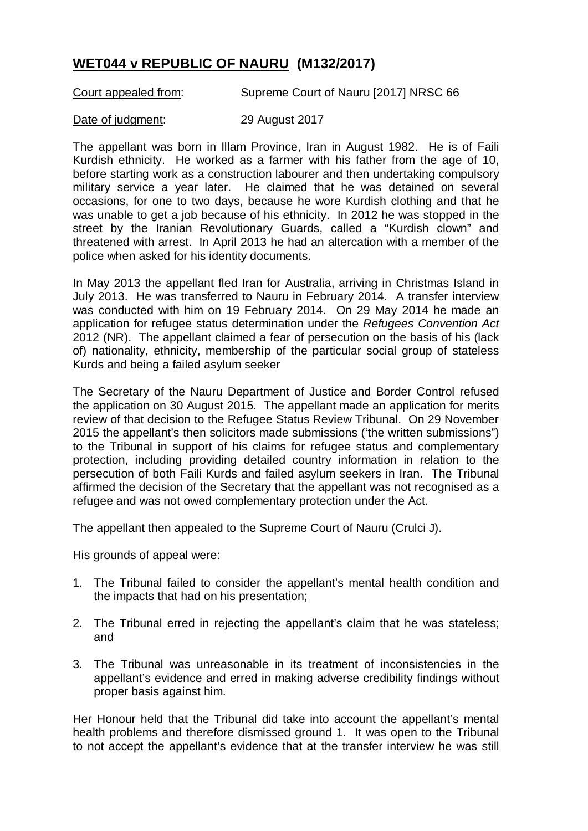## **WET044 v REPUBLIC OF NAURU (M132/2017)**

Court appealed from: Supreme Court of Nauru [2017] NRSC 66

Date of judgment: 29 August 2017

The appellant was born in Illam Province, Iran in August 1982. He is of Faili Kurdish ethnicity. He worked as a farmer with his father from the age of 10, before starting work as a construction labourer and then undertaking compulsory military service a year later. He claimed that he was detained on several occasions, for one to two days, because he wore Kurdish clothing and that he was unable to get a job because of his ethnicity. In 2012 he was stopped in the street by the Iranian Revolutionary Guards, called a "Kurdish clown" and threatened with arrest. In April 2013 he had an altercation with a member of the police when asked for his identity documents.

In May 2013 the appellant fled Iran for Australia, arriving in Christmas Island in July 2013. He was transferred to Nauru in February 2014. A transfer interview was conducted with him on 19 February 2014. On 29 May 2014 he made an application for refugee status determination under the *Refugees Convention Act*  2012 (NR). The appellant claimed a fear of persecution on the basis of his (lack of) nationality, ethnicity, membership of the particular social group of stateless Kurds and being a failed asylum seeker

The Secretary of the Nauru Department of Justice and Border Control refused the application on 30 August 2015. The appellant made an application for merits review of that decision to the Refugee Status Review Tribunal. On 29 November 2015 the appellant's then solicitors made submissions ('the written submissions") to the Tribunal in support of his claims for refugee status and complementary protection, including providing detailed country information in relation to the persecution of both Faili Kurds and failed asylum seekers in Iran. The Tribunal affirmed the decision of the Secretary that the appellant was not recognised as a refugee and was not owed complementary protection under the Act.

The appellant then appealed to the Supreme Court of Nauru (Crulci J).

His grounds of appeal were:

- 1. The Tribunal failed to consider the appellant's mental health condition and the impacts that had on his presentation;
- 2. The Tribunal erred in rejecting the appellant's claim that he was stateless; and
- 3. The Tribunal was unreasonable in its treatment of inconsistencies in the appellant's evidence and erred in making adverse credibility findings without proper basis against him.

Her Honour held that the Tribunal did take into account the appellant's mental health problems and therefore dismissed ground 1. It was open to the Tribunal to not accept the appellant's evidence that at the transfer interview he was still